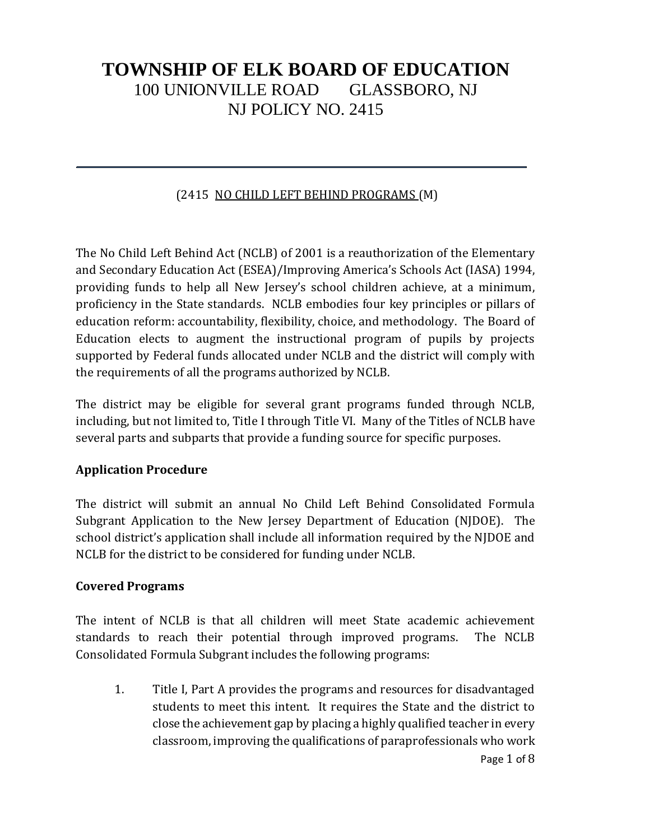### (2415 NO CHILD LEFT BEHIND PROGRAMS (M)

The No Child Left Behind Act (NCLB) of 2001 is a reauthorization of the Elementary and Secondary Education Act (ESEA)/Improving America's Schools Act (IASA) 1994, providing funds to help all New Jersey's school children achieve, at a minimum, proficiency in the State standards. NCLB embodies four key principles or pillars of education reform: accountability, flexibility, choice, and methodology. The Board of Education elects to augment the instructional program of pupils by projects supported by Federal funds allocated under NCLB and the district will comply with the requirements of all the programs authorized by NCLB.

The district may be eligible for several grant programs funded through NCLB, including, but not limited to, Title I through Title VI. Many of the Titles of NCLB have several parts and subparts that provide a funding source for specific purposes.

#### **Application Procedure**

The district will submit an annual No Child Left Behind Consolidated Formula Subgrant Application to the New Jersey Department of Education (NJDOE). The school district's application shall include all information required by the NJDOE and NCLB for the district to be considered for funding under NCLB.

#### **Covered Programs**

The intent of NCLB is that all children will meet State academic achievement standards to reach their potential through improved programs. The NCLB Consolidated Formula Subgrant includes the following programs:

Page 1 of 8 1. Title I, Part A provides the programs and resources for disadvantaged students to meet this intent. It requires the State and the district to close the achievement gap by placing a highly qualified teacher in every classroom, improving the qualifications of paraprofessionals who work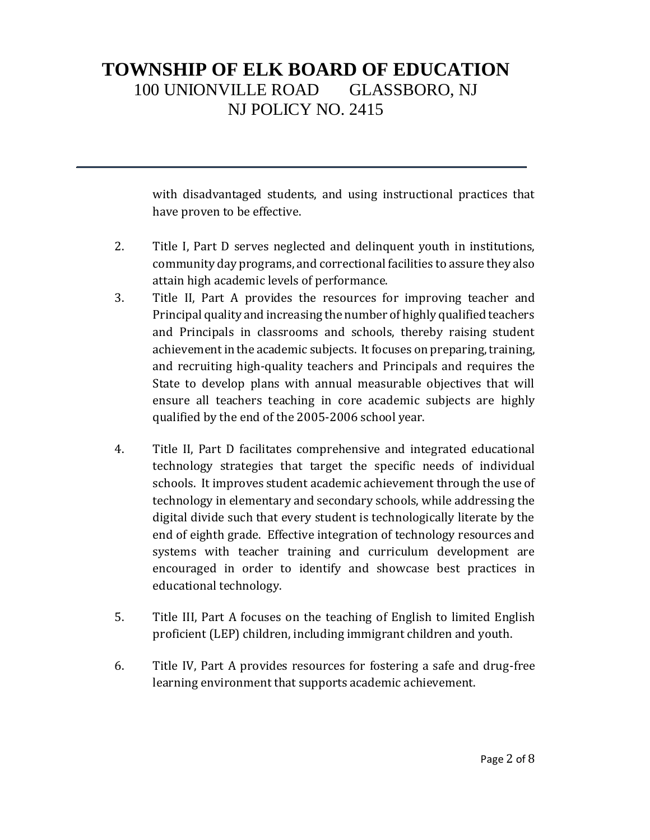with disadvantaged students, and using instructional practices that have proven to be effective.

- 2. Title I, Part D serves neglected and delinquent youth in institutions, community day programs, and correctional facilities to assure they also attain high academic levels of performance.
- 3. Title II, Part A provides the resources for improving teacher and Principal quality and increasing the number of highly qualified teachers and Principals in classrooms and schools, thereby raising student achievement in the academic subjects. It focuses on preparing, training, and recruiting high-quality teachers and Principals and requires the State to develop plans with annual measurable objectives that will ensure all teachers teaching in core academic subjects are highly qualified by the end of the 2005-2006 school year.
- 4. Title II, Part D facilitates comprehensive and integrated educational technology strategies that target the specific needs of individual schools. It improves student academic achievement through the use of technology in elementary and secondary schools, while addressing the digital divide such that every student is technologically literate by the end of eighth grade. Effective integration of technology resources and systems with teacher training and curriculum development are encouraged in order to identify and showcase best practices in educational technology.
- 5. Title III, Part A focuses on the teaching of English to limited English proficient (LEP) children, including immigrant children and youth.
- 6. Title IV, Part A provides resources for fostering a safe and drug-free learning environment that supports academic achievement.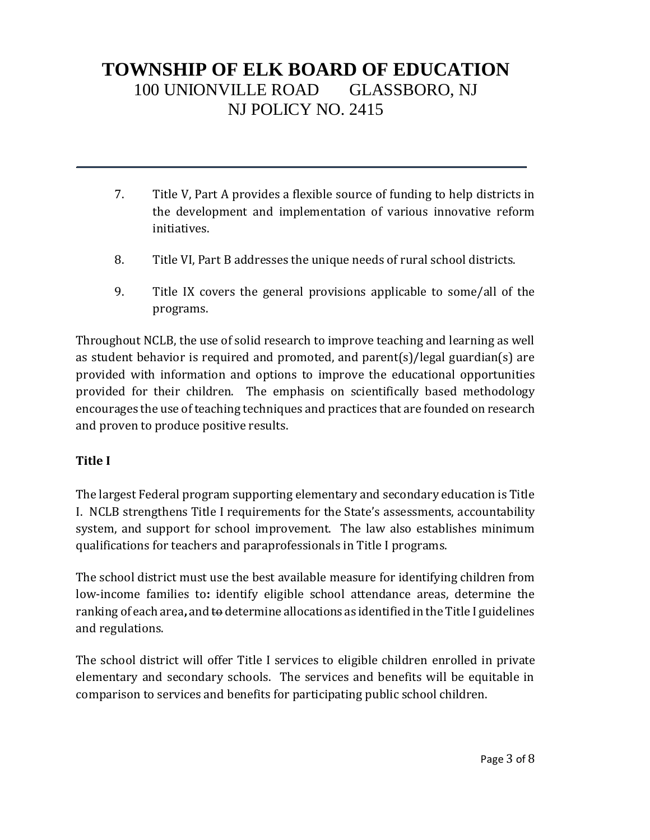- 7. Title V, Part A provides a flexible source of funding to help districts in the development and implementation of various innovative reform initiatives.
- 8. Title VI, Part B addresses the unique needs of rural school districts.
- 9. Title IX covers the general provisions applicable to some/all of the programs.

Throughout NCLB, the use of solid research to improve teaching and learning as well as student behavior is required and promoted, and parent(s)/legal guardian(s) are provided with information and options to improve the educational opportunities provided for their children. The emphasis on scientifically based methodology encourages the use of teaching techniques and practices that are founded on research and proven to produce positive results.

## **Title I**

The largest Federal program supporting elementary and secondary education is Title I. NCLB strengthens Title I requirements for the State's assessments, accountability system, and support for school improvement. The law also establishes minimum qualifications for teachers and paraprofessionals in Title I programs.

The school district must use the best available measure for identifying children from low-income families to**:** identify eligible school attendance areas, determine the ranking of each area**,** and to determine allocations as identified in the Title I guidelines and regulations.

The school district will offer Title I services to eligible children enrolled in private elementary and secondary schools. The services and benefits will be equitable in comparison to services and benefits for participating public school children.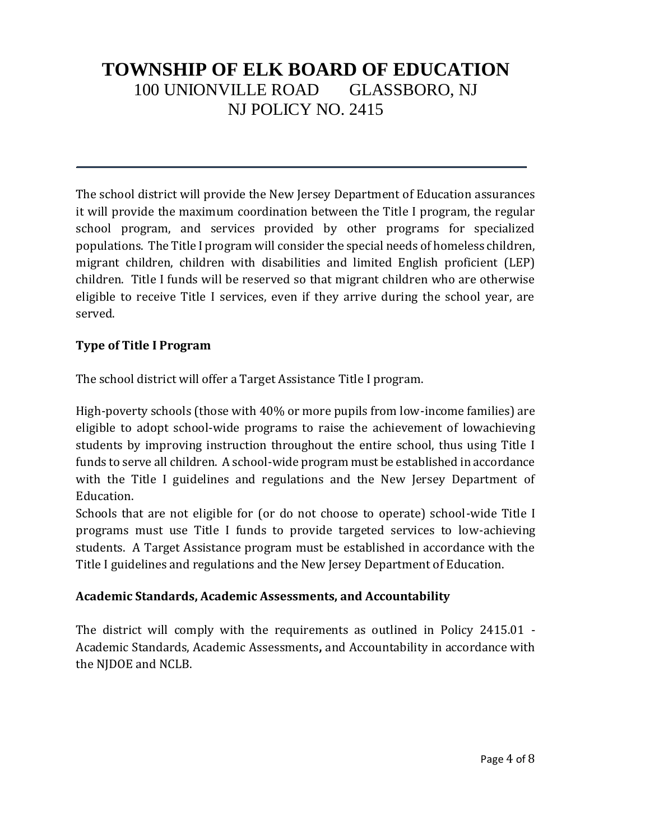The school district will provide the New Jersey Department of Education assurances it will provide the maximum coordination between the Title I program, the regular school program, and services provided by other programs for specialized populations. The Title I program will consider the special needs of homeless children, migrant children, children with disabilities and limited English proficient (LEP) children. Title I funds will be reserved so that migrant children who are otherwise eligible to receive Title I services, even if they arrive during the school year, are served.

### **Type of Title I Program**

The school district will offer a Target Assistance Title I program.

High-poverty schools (those with 40% or more pupils from low-income families) are eligible to adopt school-wide programs to raise the achievement of lowachieving students by improving instruction throughout the entire school, thus using Title I funds to serve all children. A school-wide program must be established in accordance with the Title I guidelines and regulations and the New Jersey Department of Education.

Schools that are not eligible for (or do not choose to operate) school-wide Title I programs must use Title I funds to provide targeted services to low-achieving students. A Target Assistance program must be established in accordance with the Title I guidelines and regulations and the New Jersey Department of Education.

#### **Academic Standards, Academic Assessments, and Accountability**

The district will comply with the requirements as outlined in Policy 2415.01 - Academic Standards, Academic Assessments**,** and Accountability in accordance with the NJDOE and NCLB.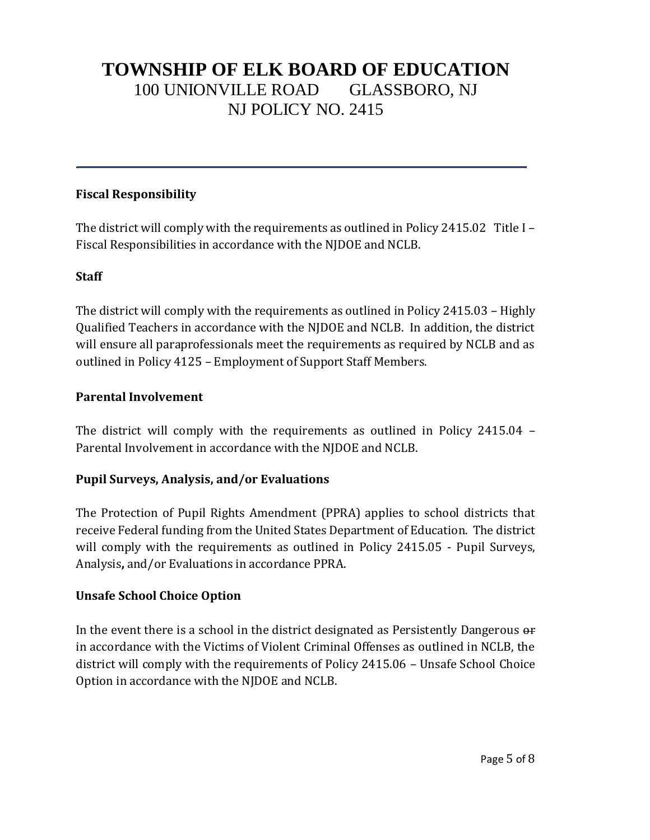### **Fiscal Responsibility**

The district will comply with the requirements as outlined in Policy 2415.02 Title I – Fiscal Responsibilities in accordance with the NJDOE and NCLB.

### **Staff**

The district will comply with the requirements as outlined in Policy 2415.03 – Highly Qualified Teachers in accordance with the NJDOE and NCLB. In addition, the district will ensure all paraprofessionals meet the requirements as required by NCLB and as outlined in Policy 4125 – Employment of Support Staff Members.

### **Parental Involvement**

The district will comply with the requirements as outlined in Policy 2415.04 – Parental Involvement in accordance with the NJDOE and NCLB.

## **Pupil Surveys, Analysis, and/or Evaluations**

The Protection of Pupil Rights Amendment (PPRA) applies to school districts that receive Federal funding from the United States Department of Education. The district will comply with the requirements as outlined in Policy 2415.05 - Pupil Surveys, Analysis**,** and/or Evaluations in accordance PPRA.

## **Unsafe School Choice Option**

In the event there is a school in the district designated as Persistently Dangerous or in accordance with the Victims of Violent Criminal Offenses as outlined in NCLB, the district will comply with the requirements of Policy 2415.06 – Unsafe School Choice Option in accordance with the NJDOE and NCLB.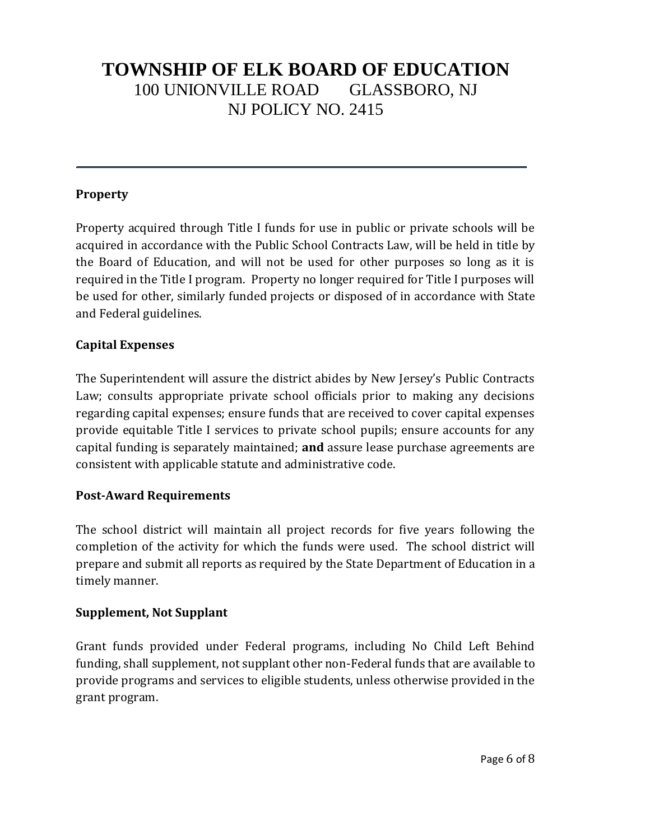#### **Property**

Property acquired through Title I funds for use in public or private schools will be acquired in accordance with the Public School Contracts Law, will be held in title by the Board of Education, and will not be used for other purposes so long as it is required in the Title I program. Property no longer required for Title I purposes will be used for other, similarly funded projects or disposed of in accordance with State and Federal guidelines.

### **Capital Expenses**

The Superintendent will assure the district abides by New Jersey's Public Contracts Law; consults appropriate private school officials prior to making any decisions regarding capital expenses; ensure funds that are received to cover capital expenses provide equitable Title I services to private school pupils; ensure accounts for any capital funding is separately maintained; **and** assure lease purchase agreements are consistent with applicable statute and administrative code.

#### **Post-Award Requirements**

The school district will maintain all project records for five years following the completion of the activity for which the funds were used. The school district will prepare and submit all reports as required by the State Department of Education in a timely manner.

#### **Supplement, Not Supplant**

Grant funds provided under Federal programs, including No Child Left Behind funding, shall supplement, not supplant other non-Federal funds that are available to provide programs and services to eligible students, unless otherwise provided in the grant program.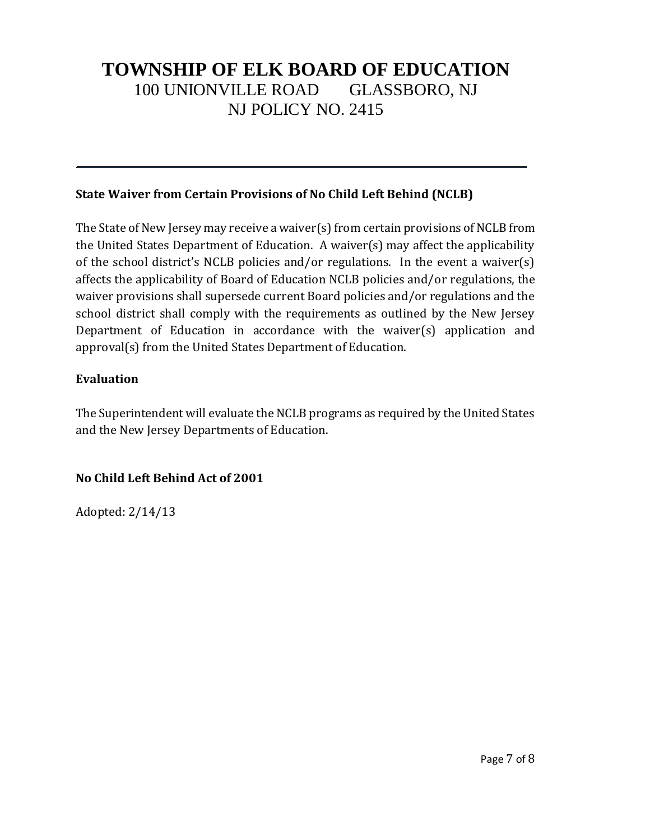### **State Waiver from Certain Provisions of No Child Left Behind (NCLB)**

The State of New Jersey may receive a waiver(s) from certain provisions of NCLB from the United States Department of Education. A waiver(s) may affect the applicability of the school district's NCLB policies and/or regulations. In the event a waiver(s) affects the applicability of Board of Education NCLB policies and/or regulations, the waiver provisions shall supersede current Board policies and/or regulations and the school district shall comply with the requirements as outlined by the New Jersey Department of Education in accordance with the waiver(s) application and approval(s) from the United States Department of Education.

### **Evaluation**

The Superintendent will evaluate the NCLB programs as required by the United States and the New Jersey Departments of Education.

## **No Child Left Behind Act of 2001**

Adopted: 2/14/13